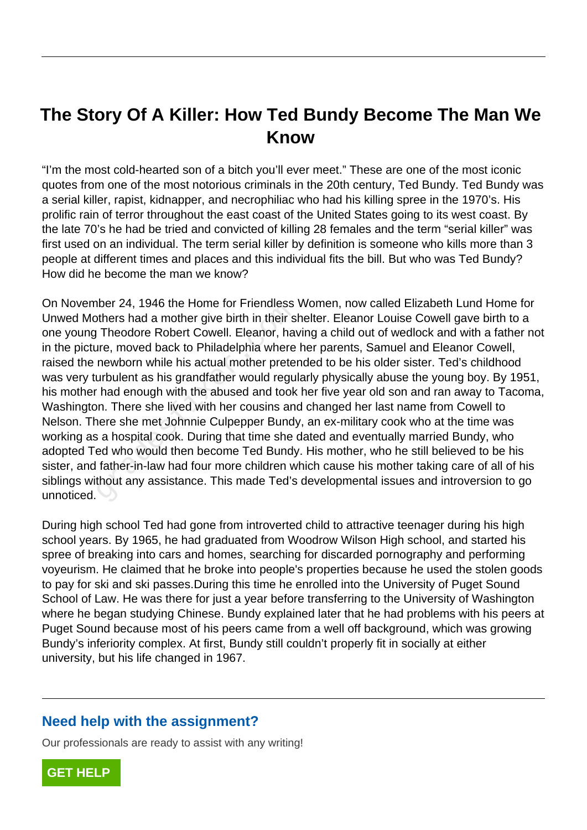# **The Story Of A Killer: How Ted Bundy Become The Man We Know**

"I'm the most cold-hearted son of a bitch you'll ever meet." These are one of the most iconic quotes from one of the most notorious criminals in the 20th century, Ted Bundy. Ted Bundy was a serial killer, rapist, kidnapper, and necrophiliac who had his killing spree in the 1970's. His prolific rain of terror throughout the east coast of the United States going to its west coast. By the late 70's he had be tried and convicted of killing 28 females and the term "serial killer" was first used on an individual. The term serial killer by definition is someone who kills more than 3 people at different times and places and this individual fits the bill. But who was Ted Bundy? How did he become the man we know?

On November 24, 1946 the Home for Friendless Women, now called Elizabeth Lund Home for Unwed Mothers had a mother give birth in their shelter. Eleanor Louise Cowell gave birth to a one young Theodore Robert Cowell. Eleanor, having a child out of wedlock and with a father not in the picture, moved back to Philadelphia where her parents, Samuel and Eleanor Cowell, raised the newborn while his actual mother pretended to be his older sister. Ted's childhood was very turbulent as his grandfather would regularly physically abuse the young boy. By 1951, his mother had enough with the abused and took her five year old son and ran away to Tacoma, Washington. There she lived with her cousins and changed her last name from Cowell to Nelson. There she met Johnnie Culpepper Bundy, an ex-military cook who at the time was working as a hospital cook. During that time she dated and eventually married Bundy, who adopted Ted who would then become Ted Bundy. His mother, who he still believed to be his sister, and father-in-law had four more children which cause his mother taking care of all of his siblings without any assistance. This made Ted's developmental issues and introversion to go unnoticed. there 24, 1940 the Florite for Fieldness<br>offers had a mother give birth in their s<br>Theodore Robert Cowell. Eleanor, hav<br>are, moved back to Philadelphia where<br>newborn while his actual mother prete<br>urbulent as his grandfathe

During high school Ted had gone from introverted child to attractive teenager during his high school years. By 1965, he had graduated from Woodrow Wilson High school, and started his spree of breaking into cars and homes, searching for discarded pornography and performing voyeurism. He claimed that he broke into people's properties because he used the stolen goods to pay for ski and ski passes.During this time he enrolled into the University of Puget Sound School of Law. He was there for just a year before transferring to the University of Washington where he began studying Chinese. Bundy explained later that he had problems with his peers at Puget Sound because most of his peers came from a well off background, which was growing Bundy's inferiority complex. At first, Bundy still couldn't properly fit in socially at either university, but his life changed in 1967.

#### **Need help with the assignment?**

Our professionals are ready to assist with any writing!

**[GET HELP](https://my.gradesfixer.com/order?utm_campaign=pdf_sample)**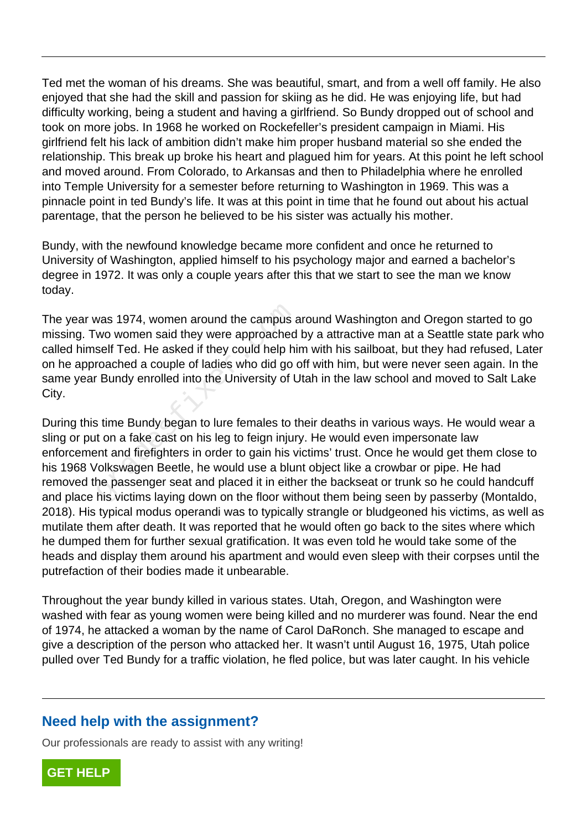Ted met the woman of his dreams. She was beautiful, smart, and from a well off family. He also enjoyed that she had the skill and passion for skiing as he did. He was enjoying life, but had difficulty working, being a student and having a girlfriend. So Bundy dropped out of school and took on more jobs. In 1968 he worked on Rockefeller's president campaign in Miami. His girlfriend felt his lack of ambition didn't make him proper husband material so she ended the relationship. This break up broke his heart and plagued him for years. At this point he left school and moved around. From Colorado, to Arkansas and then to Philadelphia where he enrolled into Temple University for a semester before returning to Washington in 1969. This was a pinnacle point in ted Bundy's life. It was at this point in time that he found out about his actual parentage, that the person he believed to be his sister was actually his mother.

Bundy, with the newfound knowledge became more confident and once he returned to University of Washington, applied himself to his psychology major and earned a bachelor's degree in 1972. It was only a couple years after this that we start to see the man we know today.

The year was 1974, women around the campus around Washington and Oregon started to go missing. Two women said they were approached by a attractive man at a Seattle state park who called himself Ted. He asked if they could help him with his sailboat, but they had refused, Later on he approached a couple of ladies who did go off with him, but were never seen again. In the same year Bundy enrolled into the University of Utah in the law school and moved to Salt Lake City. vas 1974, women around the campus a<br>wo women said they were approached<br>self Ted. He asked if they could help hi<br>roached a couple of ladies who did go<br>· Bundy enrolled into the University of L<br>stime Bundy began to lure fema

During this time Bundy began to lure females to their deaths in various ways. He would wear a sling or put on a fake cast on his leg to feign injury. He would even impersonate law enforcement and firefighters in order to gain his victims' trust. Once he would get them close to his 1968 Volkswagen Beetle, he would use a blunt object like a crowbar or pipe. He had removed the passenger seat and placed it in either the backseat or trunk so he could handcuff and place his victims laying down on the floor without them being seen by passerby (Montaldo, 2018). His typical modus operandi was to typically strangle or bludgeoned his victims, as well as mutilate them after death. It was reported that he would often go back to the sites where which he dumped them for further sexual gratification. It was even told he would take some of the heads and display them around his apartment and would even sleep with their corpses until the putrefaction of their bodies made it unbearable.

Throughout the year bundy killed in various states. Utah, Oregon, and Washington were washed with fear as young women were being killed and no murderer was found. Near the end of 1974, he attacked a woman by the name of Carol DaRonch. She managed to escape and give a description of the person who attacked her. It wasn't until August 16, 1975, Utah police pulled over Ted Bundy for a traffic violation, he fled police, but was later caught. In his vehicle

### **Need help with the assignment?**

Our professionals are ready to assist with any writing!

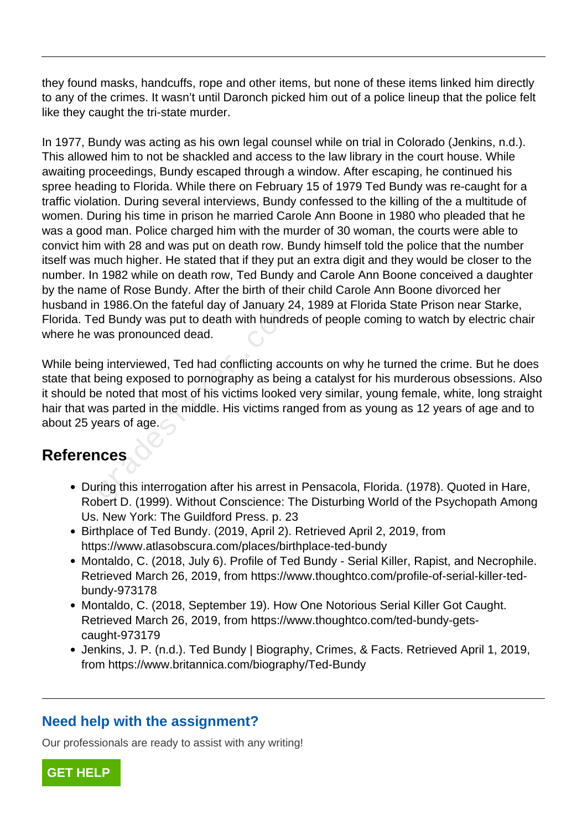they found masks, handcuffs, rope and other items, but none of these items linked him directly to any of the crimes. It wasn't until Daronch picked him out of a police lineup that the police felt like they caught the tri-state murder.

In 1977, Bundy was acting as his own legal counsel while on trial in Colorado (Jenkins, n.d.). This allowed him to not be shackled and access to the law library in the court house. While awaiting proceedings, Bundy escaped through a window. After escaping, he continued his spree heading to Florida. While there on February 15 of 1979 Ted Bundy was re-caught for a traffic violation. During several interviews, Bundy confessed to the killing of the a multitude of women. During his time in prison he married Carole Ann Boone in 1980 who pleaded that he was a good man. Police charged him with the murder of 30 woman, the courts were able to convict him with 28 and was put on death row. Bundy himself told the police that the number itself was much higher. He stated that if they put an extra digit and they would be closer to the number. In 1982 while on death row, Ted Bundy and Carole Ann Boone conceived a daughter by the name of Rose Bundy. After the birth of their child Carole Ann Boone divorced her husband in 1986.On the fateful day of January 24, 1989 at Florida State Prison near Starke, Florida. Ted Bundy was put to death with hundreds of people coming to watch by electric chair where he was pronounced dead.

While being interviewed, Ted had conflicting accounts on why he turned the crime. But he does state that being exposed to pornography as being a catalyst for his murderous obsessions. Also it should be noted that most of his victims looked very similar, young female, white, long straight hair that was parted in the middle. His victims ranged from as young as 12 years of age and to about 25 years of age. First 1986.On the fatelul day of January 24<br>ed Bundy was put to death with hundre<br>was pronounced dead.<br>g interviewed, Ted had conflicting acco<br>being exposed to pornography as being<br>e noted that most of his victims looked<br>a

## **References**

- During this interrogation after his arrest in Pensacola, Florida. (1978). Quoted in Hare, Robert D. (1999). Without Conscience: The Disturbing World of the Psychopath Among Us. New York: The Guildford Press. p. 23
- Birthplace of Ted Bundy. (2019, April 2). Retrieved April 2, 2019, from https://www.atlasobscura.com/places/birthplace-ted-bundy
- Montaldo, C. (2018, July 6). Profile of Ted Bundy Serial Killer, Rapist, and Necrophile. Retrieved March 26, 2019, from https://www.thoughtco.com/profile-of-serial-killer-tedbundy-973178
- Montaldo, C. (2018, September 19). How One Notorious Serial Killer Got Caught. Retrieved March 26, 2019, from https://www.thoughtco.com/ted-bundy-getscaught-973179
- Jenkins, J. P. (n.d.). Ted Bundy | Biography, Crimes, & Facts. Retrieved April 1, 2019, from https://www.britannica.com/biography/Ted-Bundy

### **Need help with the assignment?**

Our professionals are ready to assist with any writing!

**[GET HELP](https://my.gradesfixer.com/order?utm_campaign=pdf_sample)**